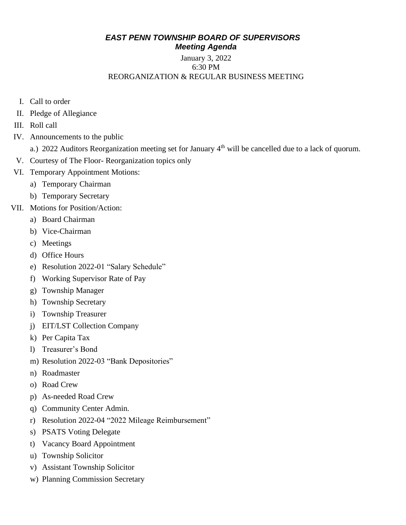#### *EAST PENN TOWNSHIP BOARD OF SUPERVISORS Meeting Agenda*

#### January 3, 2022 6:30 PM REORGANIZATION & REGULAR BUSINESS MEETING

- I. Call to order
- II. Pledge of Allegiance
- III. Roll call
- IV. Announcements to the public
	- a.) 2022 Auditors Reorganization meeting set for January 4<sup>th</sup> will be cancelled due to a lack of quorum.
- V. Courtesy of The Floor- Reorganization topics only
- VI. Temporary Appointment Motions:
	- a) Temporary Chairman
	- b) Temporary Secretary
- VII. Motions for Position/Action:
	- a) Board Chairman
	- b) Vice-Chairman
	- c) Meetings
	- d) Office Hours
	- e) Resolution 2022-01 "Salary Schedule"
	- f) Working Supervisor Rate of Pay
	- g) Township Manager
	- h) Township Secretary
	- i) Township Treasurer
	- j) EIT/LST Collection Company
	- k) Per Capita Tax
	- l) Treasurer's Bond
	- m) Resolution 2022-03 "Bank Depositories"
	- n) Roadmaster
	- o) Road Crew
	- p) As-needed Road Crew
	- q) Community Center Admin.
	- r) Resolution 2022-04 "2022 Mileage Reimbursement"
	- s) PSATS Voting Delegate
	- t) Vacancy Board Appointment
	- u) Township Solicitor
	- v) Assistant Township Solicitor
	- w) Planning Commission Secretary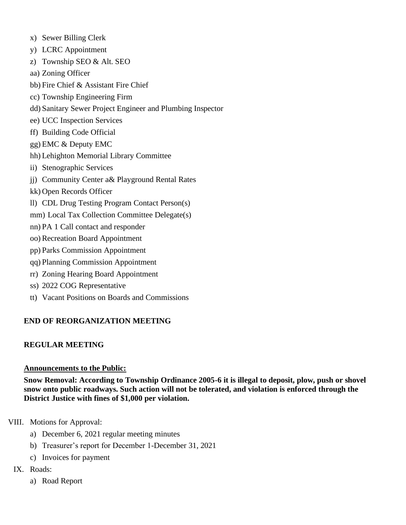- x) Sewer Billing Clerk
- y) LCRC Appointment
- z) Township SEO & Alt. SEO
- aa) Zoning Officer
- bb) Fire Chief & Assistant Fire Chief
- cc) Township Engineering Firm
- dd) Sanitary Sewer Project Engineer and Plumbing Inspector
- ee) UCC Inspection Services
- ff) Building Code Official
- gg) EMC & Deputy EMC
- hh) Lehighton Memorial Library Committee
- ii) Stenographic Services
- jj) Community Center a& Playground Rental Rates
- kk) Open Records Officer
- ll) CDL Drug Testing Program Contact Person(s)
- mm) Local Tax Collection Committee Delegate(s)
- nn) PA 1 Call contact and responder
- oo) Recreation Board Appointment
- pp) Parks Commission Appointment
- qq) Planning Commission Appointment
- rr) Zoning Hearing Board Appointment
- ss) 2022 COG Representative
- tt) Vacant Positions on Boards and Commissions

## **END OF REORGANIZATION MEETING**

## **REGULAR MEETING**

#### **Announcements to the Public:**

**Snow Removal: According to Township Ordinance 2005-6 it is illegal to deposit, plow, push or shovel snow onto public roadways. Such action will not be tolerated, and violation is enforced through the District Justice with fines of \$1,000 per violation.**

## VIII. Motions for Approval:

- a) December 6, 2021 regular meeting minutes
- b) Treasurer's report for December 1-December 31, 2021
- c) Invoices for payment
- IX. Roads:
	- a) Road Report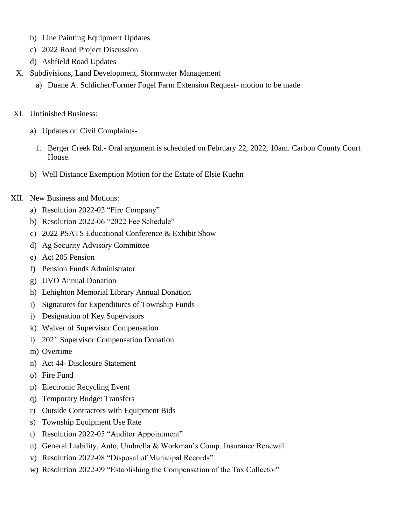- b) Line Painting Equipment Updates
- c) 2022 Road Project Discussion
- d) Ashfield Road Updates
- X. Subdivisions, Land Development, Stormwater Management
	- a) Duane A. Schlicher/Former Fogel Farm Extension Request- motion to be made
- XI. Unfinished Business:
	- a) Updates on Civil Complaints-
		- 1. Berger Creek Rd.- Oral argument is scheduled on February 22, 2022, 10am. Carbon County Court House.
	- b) Well Distance Exemption Motion for the Estate of Elsie Kuehn
- XII. New Business and Motions:
	- a) Resolution 2022-02 "Fire Company"
	- b) Resolution 2022-06 "2022 Fee Schedule"
	- c) 2022 PSATS Educational Conference & Exhibit Show
	- d) Ag Security Advisory Committee
	- e) Act 205 Pension
	- f) Pension Funds Administrator
	- g) UVO Annual Donation
	- h) Lehighton Memorial Library Annual Donation
	- i) Signatures for Expenditures of Township Funds
	- j) Designation of Key Supervisors
	- k) Waiver of Supervisor Compensation
	- l) 2021 Supervisor Compensation Donation
	- m) Overtime
	- n) Act 44- Disclosure Statement
	- o) Fire Fund
	- p) Electronic Recycling Event
	- q) Temporary Budget Transfers
	- r) Outside Contractors with Equipment Bids
	- s) Township Equipment Use Rate
	- t) Resolution 2022-05 "Auditor Appointment"
	- u) General Liability, Auto, Umbrella & Workman's Comp. Insurance Renewal
	- v) Resolution 2022-08 "Disposal of Municipal Records"
	- w) Resolution 2022-09 "Establishing the Compensation of the Tax Collector"